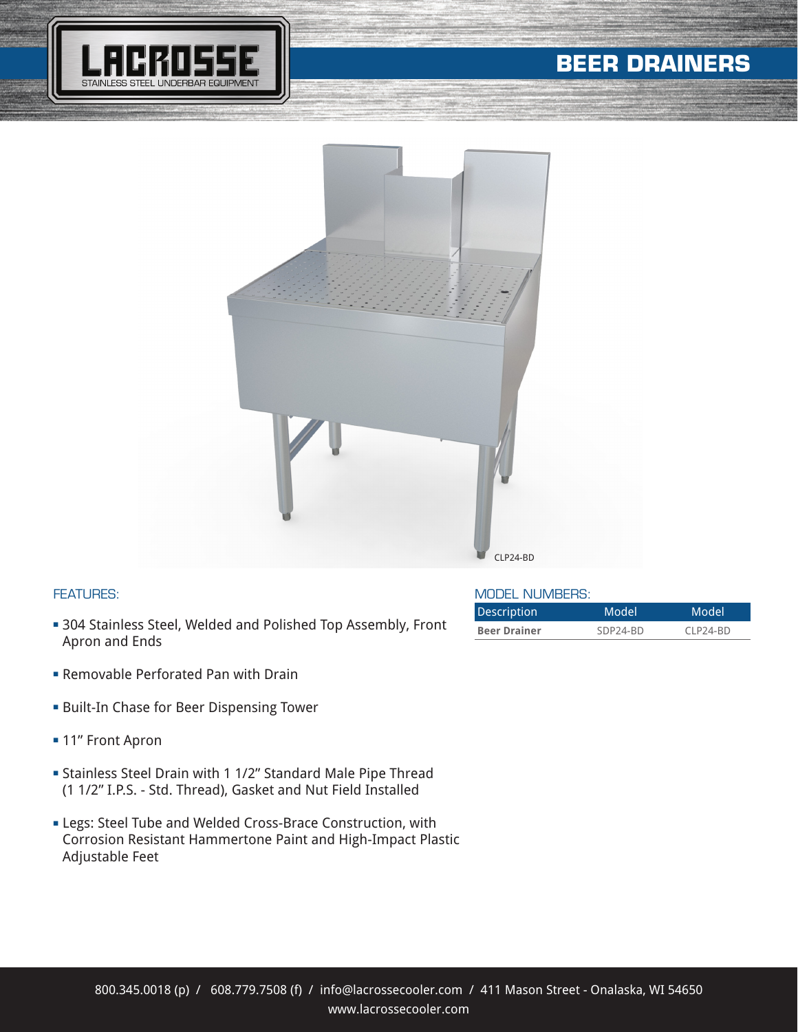

## **BEER DRAINERS**



## FEATURES:

- **304 Stainless Steel, Welded and Polished Top Assembly, Front** Apron and Ends
- **Removable Perforated Pan with Drain**
- **Built-In Chase for Beer Dispensing Tower**
- **11" Front Apron**
- **Stainless Steel Drain with 1 1/2" Standard Male Pipe Thread** (1 1/2" I.P.S. - Std. Thread), Gasket and Nut Field Installed
- **ELEPS: Steel Tube and Welded Cross-Brace Construction, with** Corrosion Resistant Hammertone Paint and High-Impact Plastic Adjustable Feet

MODEL NUMBERS:

| Description         | Model                | Model    |
|---------------------|----------------------|----------|
| <b>Beer Drainer</b> | SDP <sub>24-BD</sub> | CLP24-BD |